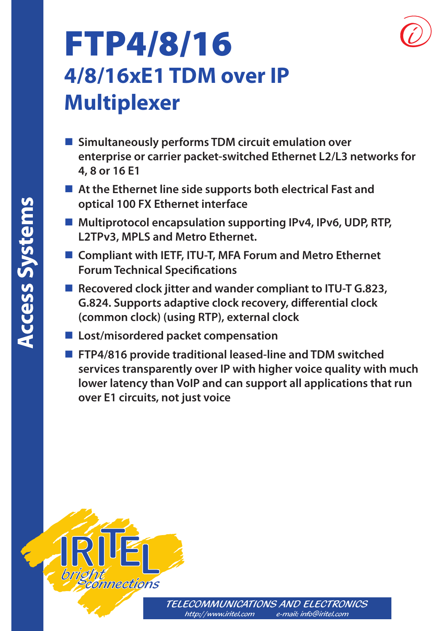

# FTP4/8/16 **4/8/16xE1 TDM over IP Multiplexer**

- **Simultaneously performs TDM circuit emulation over enterprise or carrier packet-switched Ethernet L2/L3 networks for 4, 8 or 16 E1**
- **At the Ethernet line side supports both electrical Fast and optical 100 FX Ethernet interface**
- **Multiprotocol encapsulation supporting IPv4, IPv6, UDP, RTP, L2TPv3, MPLS and Metro Ethernet.**
- **Compliant with IETF, ITU-T, MFA Forum and Metro Ethernet Forum Technical Specifications**
- **Recovered clock jitter and wander compliant to ITU-T G.823, G.824. Supports adaptive clock recovery, differential clock (common clock) (using RTP), external clock**
- **Lost/misordered packet compensation**
- **FTP4/816 provide traditional leased-line and TDM switched services transparently over IP with higher voice quality with much lower latency than VoIP and can support all applications that run over E1 circuits, not just voice**